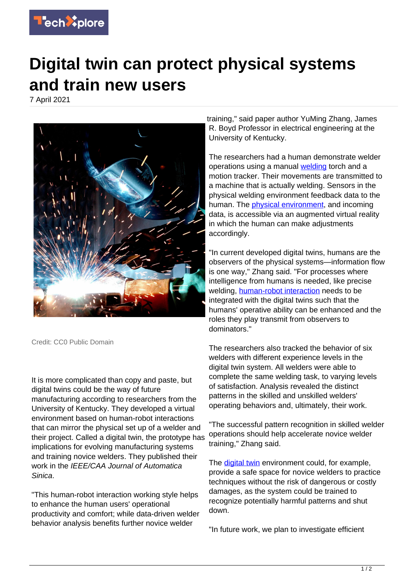

## **Digital twin can protect physical systems and train new users**

7 April 2021



Credit: CC0 Public Domain

It is more complicated than copy and paste, but digital twins could be the way of future manufacturing according to researchers from the University of Kentucky. They developed a virtual environment based on human-robot interactions that can mirror the physical set up of a welder and their project. Called a digital twin, the prototype has implications for evolving manufacturing systems and training novice welders. They published their work in the IEEE/CAA Journal of Automatica Sinica.

"This human-robot interaction working style helps to enhance the human users' operational productivity and comfort; while data-driven welder behavior analysis benefits further novice welder

training," said paper author YuMing Zhang, James R. Boyd Professor in electrical engineering at the University of Kentucky.

The researchers had a human demonstrate welder operations using a manual [welding](https://techxplore.com/tags/welding/) torch and a motion tracker. Their movements are transmitted to a machine that is actually welding. Sensors in the physical welding environment feedback data to the human. The [physical environment,](https://techxplore.com/tags/physical+environment/) and incoming data, is accessible via an augmented virtual reality in which the human can make adjustments accordingly.

"In current developed digital twins, humans are the observers of the physical systems—information flow is one way," Zhang said. "For processes where intelligence from humans is needed, like precise welding, [human-robot interaction](https://techxplore.com/tags/human-robot+interaction/) needs to be integrated with the digital twins such that the humans' operative ability can be enhanced and the roles they play transmit from observers to dominators."

The researchers also tracked the behavior of six welders with different experience levels in the digital twin system. All welders were able to complete the same welding task, to varying levels of satisfaction. Analysis revealed the distinct patterns in the skilled and unskilled welders' operating behaviors and, ultimately, their work.

"The successful pattern recognition in skilled welder operations should help accelerate novice welder training," Zhang said.

The [digital twin](https://techxplore.com/tags/digital+twin/) environment could, for example, provide a safe space for novice welders to practice techniques without the risk of dangerous or costly damages, as the system could be trained to recognize potentially harmful patterns and shut down.

"In future work, we plan to investigate efficient